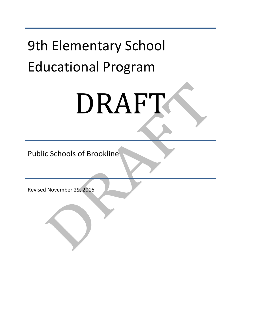# **9th Elementary School** Educational Program

# DRAFT

Public Schools of Brookline

Revised November 29, 2016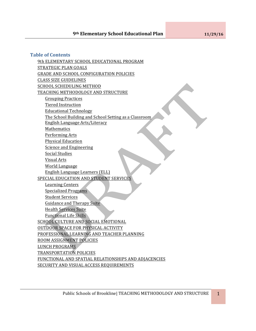#### **Table of Contents**

9th ELEMENTARY SCHOOL EDUCATIONAL PROGRAM STRATEGIC PLAN GOALS **GRADE AND SCHOOL CONFIGURATION POLICIES** CLASS SIZE GUIDELINES SCHOOL SCHEDULING METHOD TEACHING METHODOLOGY AND STRUCTURE Grouping Practices Tiered Instruction Educational Technology The School Building and School Setting as a Classroom English Language Arts/Literacy Mathematics Performing Arts Physical Education Science and Engineering Social Studies Visual Arts World Language English Language Learners (ELL) SPECIAL EDUCATION AND STUDENT SERVICES Learning Centers Specialized Programs **Student Services** Guidance and Therapy Suite **Health Services Suite** Functional Life Skills SCHOOL CULTURE AND SOCIAL EMOTIONAL OUTDOOR SPACE FOR PHYSICAL ACTIVITY PROFESSIONAL LEARNING AND TEACHER PLANNING ROOM ASSIGNMENT POLICIES LUNCH PROGRAMS TRANSPORTATION POLICIES FUNCTIONAL AND SPATIAL RELATIONSHIPS AND ADJACENCIES SECURITY AND VISUAL ACCESS REQUIREMENTS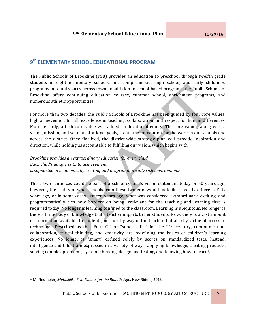# **9th ELEMENTARY SCHOOL EDUCATIONAL PROGRAM**

The Public Schools of Brookline (PSB) provides an education to preschool through twelfth grade students in eight elementary schools, one comprehensive high school, and early childhood programs in rental spaces across town. In addition to school-based programs, the Public Schools of Brookline offers continuing education courses, summer school, enrichment programs, and numerous athletic opportunities.

For more than two decades, the Public Schools of Brookline has been guided by four core values: high achievement for all, excellence in teaching, collaboration, and respect for human differences. More recently, a fifth core value was added  $-$  educational equity. The core values, along with a vision, mission, and set of aspirational goals, create the foundation for the work in our schools and across the district. Once finalized, the district-wide strategic plan will provide inspiration and direction, while holding us accountable to fulfilling our vision, which begins with:

*Brookline provides an extraordinary education for every child. Each child's unique path to achievement is* supported in academically exciting and programmatically rich environments.

These two sentences could be part of a school system's vision statement today or 50 years ago; however, the reality of what schools from these two eras would look like is vastly different. Fifty years ago, or in some cases just ten years ago, what was considered extraordinary, exciting, and programmatically rich now borders on being irrelevant for the teaching and learning that is required today. No longer is learning confined to the classroom. Learning is ubiquitous. No longer is there a finite body of knowledge that a teacher imparts to her students. Now, there is a vast amount of information available to students, not just by way of the teacher, but also by virtue of access to technology. Described as the "Four Cs" or "super skills" for the  $21<sup>st</sup>$  century, communication, collaboration, critical thinking, and creativity are redefining the basics of children's learning experiences. No longer is "smart" defined solely by scores on standardized tests. Instead, intelligence and talent are expressed in a variety of ways: applying knowledge, creating products, solving complex problems, systems thinking, design and testing, and knowing how to learn<sup>1</sup>.

 

<sup>&</sup>lt;sup>1</sup> M. Neumeier, *Metaskills: Five Talents for the Robotic Age*, New Riders, 2013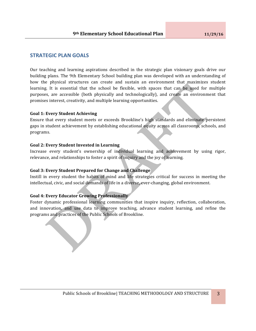# **STRATEGIC PLAN GOALS**

Our teaching and learning aspirations described in the strategic plan visionary goals drive our building plans. The 9th Elementary School building plan was developed with an understanding of how the physical structures can create and sustain an environment that maximizes student learning. It is essential that the school be flexible, with spaces that can be used for multiple purposes, are accessible (both physically and technologically), and create an environment that promises interest, creativity, and multiple learning opportunities.

#### **Goal 1: Every Student Achieving**

Ensure that every student meets or exceeds Brookline's high standards and eliminate persistent gaps in student achievement by establishing educational equity across all classrooms, schools, and programs.

#### Goal 2: Every Student Invested in Learning

Increase every student's ownership of individual learning and achievement by using rigor, relevance, and relationships to foster a spirit of inquiry and the joy of learning.

#### Goal 3: Every Student Prepared for Change and Challenge

Instill in every student the habits of mind and life strategies critical for success in meeting the intellectual, civic, and social demands of life in a diverse, ever-changing, global environment.

#### **Goal 4: Every Educator Growing Professionally**

Foster dynamic professional learning communities that inspire inquiry, reflection, collaboration, and innovation, and use data to improve teaching, advance student learning, and refine the programs and practices of the Public Schools of Brookline.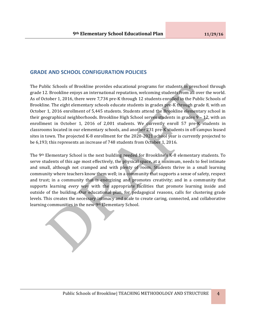# **GRADE AND SCHOOL CONFIGURATION POLICIES**

The Public Schools of Brookline provides educational programs for students in preschool through grade 12. Brookline enjoys an international reputation, welcoming students from all over the world. As of October 1, 2016, there were 7,734 pre-K through 12 students enrolled in the Public Schools of Brookline. The eight elementary schools educate students in grades pre-K through grade 8, with an October 1, 2016 enrollment of 5,445 students. Students attend the Brookline elementary school in their geographical neighborhoods. Brookline High School serves students in grades  $9 - 12$ , with an enrollment in October 1, 2016 of 2,001 students. We currently enroll 57 pre-K students in classrooms located in our elementary schools, and another 231 pre-K students in off-campus leased sites in town. The projected K-8 enrollment for the 2020-2021 school year is currently projected to be 6,193; this represents an increase of 748 students from October 1, 2016.

The 9<sup>th</sup> Elementary School is the next building needed for Brookline's K-8 elementary students. To serve students of this age most effectively, the physical space, at a minimum, needs to feel intimate and small, although not cramped and with plenty of room. Students thrive in a small learning community where teachers know them well; in a community that supports a sense of safety, respect and trust; in a community that is energizing and promotes creativity; and in a community that supports learning every way with the appropriate facilities that promote learning inside and outside of the building. Our educational plan, for pedagogical reasons, calls for clustering grade levels. This creates the necessary intimacy and scale to create caring, connected, and collaborative learning communities in the new 9th Elementary School.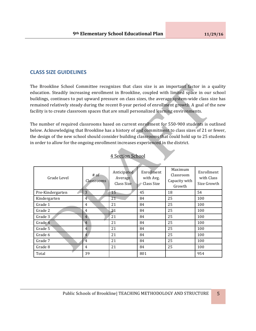# **CLASS SIZE GUIDELINES**

The Brookline School Committee recognizes that class size is an important factor in a quality education. Steadily increasing enrollment in Brookline, coupled with limited space in our school buildings, continues to put upward pressure on class sizes, the average system-wide class size has remained relatively steady during the recent 8-year period of enrollment growth. A goal of the new facility is to create classroom spaces that are small personalized learning environments.

The number of required classrooms based on current enrollment for 550-900 students is outlined below. Acknowledging that Brookline has a history of and commitment to class sizes of 21 or fewer, the design of the new school should consider building classrooms that could hold up to 25 students in order to allow for the ongoing enrollment increases experienced in the district.

| Grade Level      | $#$ of<br>Classrooms | Anticipated<br>Average<br>Class Size | Enrollment<br>with Avg.<br>Class Size | Maximum<br>Classroom<br>Capacity with<br>Growth | Enrollment<br>with Class<br>Size Growth |
|------------------|----------------------|--------------------------------------|---------------------------------------|-------------------------------------------------|-----------------------------------------|
| Pre-Kindergarten | 3                    | 15                                   | 45                                    | 18                                              | 54                                      |
| Kindergarten     | 4                    | 21                                   | 84                                    | 25                                              | 100                                     |
| Grade 1          | $\overline{4}$       | 21                                   | 84                                    | 25                                              | 100                                     |
| Grade 2          | 4                    | 21                                   | 84                                    | 25                                              | 100                                     |
| Grade 3          | 4                    | 21                                   | 84                                    | 25                                              | 100                                     |
| Grade 4          | $\overline{4}$       | 21                                   | 84                                    | 25                                              | 100                                     |
| Grade 5          | 4                    | 21                                   | 84                                    | 25                                              | 100                                     |
| Grade 6          | 4                    | 21                                   | 84                                    | 25                                              | 100                                     |
| Grade 7          | $\overline{4}$       | 21                                   | 84                                    | 25                                              | 100                                     |
| Grade 8          | 4                    | 21                                   | 84                                    | 25                                              | 100                                     |
| Total            | 39                   |                                      | 801                                   |                                                 | 954                                     |

# **4 Section School**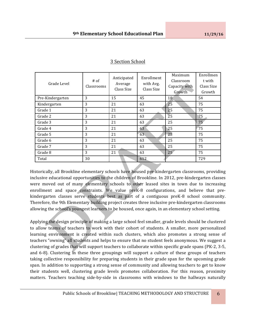| Grade Level      | $#$ of<br>Classrooms | Anticipated<br>Average<br>Class Size | Enrollment<br>with Avg.<br>Class Size | Maximum<br>Classroom<br>Capacity with<br>Growth | Enrollmen<br>t with<br>Class Size<br>Growth |
|------------------|----------------------|--------------------------------------|---------------------------------------|-------------------------------------------------|---------------------------------------------|
| Pre-Kindergarten | 3                    | 15                                   | 45                                    | 18                                              | 54                                          |
| Kindergarten     | 3                    | 21                                   | 63                                    | 25                                              | 75                                          |
| Grade 1          | 3                    | 21                                   | 63                                    | 25                                              | 75                                          |
| Grade 2          | 3                    | 21                                   | 63                                    | $\overline{2}5$                                 | 75                                          |
| Grade 3          | 3                    | 21                                   | 63                                    | 25                                              | 75                                          |
| Grade 4          | 3                    | 21                                   | 63                                    | 25                                              | 75                                          |
| Grade 5          | 3                    | 21                                   | 63                                    | 25                                              | 75                                          |
| Grade 6          | 3                    | 21                                   | 63                                    | 25                                              | 75                                          |
| Grade 7          | 3                    | 21                                   | 63                                    | 25                                              | 75                                          |
| Grade 8          | 3                    | 21                                   | 63                                    | 25 <sub>1</sub>                                 | 75                                          |
| Total            | 30                   |                                      | 612                                   |                                                 | 729                                         |

# 3 Section School

Historically, all Brookline elementary schools have housed pre-kindergarten classrooms, providing inclusive educational opportunities to the children of Brookline. In 2012, pre-kindergarten classes were moved out of many elementary schools to other leased sites in town due to increasing enrollment and space constraints. We value preK-8 configurations, and believe that prekindergarten classes serve students best as part of a contiguous preK-8 school community. Therefore, the 9th Elementary building project creates three inclusive pre-kindergarten classrooms allowing the school's youngest learners to be housed, once again, in an elementary school setting.

Applying the design principle of making a large school feel smaller, grade levels should be clustered to allow teams of teachers to work with their cohort of students. A smaller, more personalized learning environment is created within such clusters, which also promotes a strong sense of teachers "owning" all students and helps to ensure that no student feels anonymous. We suggest a clustering of grades that will support teachers to collaborate within specific grade spans (PK-2, 3-5, and 6-8). Clustering in these three groupings will support a culture of these groups of teachers taking collective responsibility for preparing students in their grade span for the upcoming grade span. In addition to supporting a strong sense of community and allowing teachers to get to know their students well, clustering grade levels promotes collaboration. For this reason, proximity matters. Teachers teaching side-by-side in classrooms with windows to the hallways naturally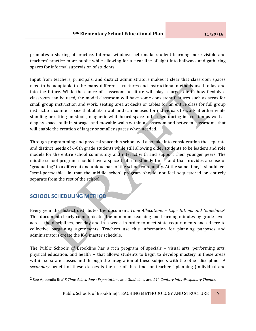promotes a sharing of practice. Internal windows help make student learning more visible and teachers' practice more public while allowing for a clear line of sight into hallways and gathering spaces for informal supervision of students.

Input from teachers, principals, and district administrators makes it clear that classroom spaces need to be adaptable to the many different structures and instructional methods used today and into the future. While the choice of classroom furniture will play a large role in how flexibly a classroom can be used, the model classroom will have some consistent features such as areas for small group instruction and work, seating area at desks or tables for an entire class for full group instruction, counter space that abuts a wall and can be used for individuals to work at either while standing or sitting on stools, magnetic whiteboard space to be used during instruction as well as display space, built in storage, and movable walls within a classroom and between classrooms that will enable the creation of larger or smaller spaces when needed.

Through programming and physical space this school will also take into consideration the separate and distinct needs of 6-8th grade students while still allowing older students to be leaders and role models for the entire school community and interact with and support their younger peers. The middle school program should have a space that is distinctly theirs and that provides a sense of "graduating" to a different and unique part of the school community. At the same time, it should feel "semi-permeable" in that the middle school program should not feel sequestered or entirely separate from the rest of the school.

# **SCHOOL SCHEDULING METHOD**

 

Every year the district distributes the document, *Time Allocations – Expectations and Guidelines<sup>2</sup>*. This document clearly communicates the minimum teaching and learning minutes by grade level, across the disciplines, per day and in a week, in order to meet state requirements and adhere to collective bargaining agreements. Teachers use this information for planning purposes and administrators create the K-8 master schedule.

The Public Schools of Brookline has a rich program of specials – visual arts, performing arts, physical education, and health -- that allows students to begin to develop mastery in these areas within separate classes and through the integration of these subjects with the other disciplines. A secondary benefit of these classes is the use of this time for teachers' planning (individual and

<sup>2</sup> See Appendix B: *K-8 Time Allocations: Expectations* and *Guidelines* and *21st Century Interdisciplinary Themes*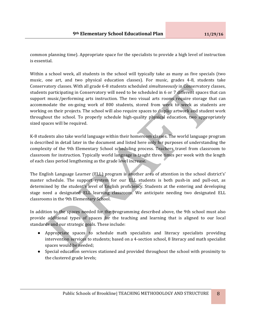common planning time). Appropriate space for the specialists to provide a high level of instruction is essential. 

Within a school week, all students in the school will typically take as many as five specials (two music, one art, and two physical education classes). For music, grades 4-8, students take Conservatory classes. With all grade 6-8 students scheduled *simultaneously* in Conservatory classes, students participating in Conservatory will need to be scheduled in 6 or 7 different spaces that can support music/performing arts instruction. The two visual arts rooms require storage that can accommodate the on-going work of 800 students, stored from week to week as students are working on their projects. The school will also require spaces to display artwork and student work throughout the school. To properly schedule high-quality physical education, two appropriately sized spaces will be required.

K-8 students also take world language within their homeroom classes. The world language program is described in detail later in the document and listed here only for purposes of understanding the complexity of the 9th Elementary School scheduling process. Teachers travel from classroom to classroom for instruction. Typically world language is taught three times per week with the length of each class period lengthening as the grade level increase.

The English Language Learner (ELL) program is another area of attention in the school district's' master schedule. The support system for our ELL students is both push-in and pull-out, as determined by the student's level of English proficiency. Students at the entering and developing stage need a designated ELL learning classroom. We anticipate needing two designated ELL classrooms in the 9th Elementary School.

In addition to the spaces needed for the programming described above, the 9th school must also provide additional types of spaces for the teaching and learning that is aligned to our local standards and our strategic goals. These include:

- Appropriate spaces to schedule math specialists and literacy specialists providing intervention services to students; based on a 4-section school, 8 literacy and math specialist spaces would be needed;
- Special education services stationed and provided throughout the school with proximity to the clustered grade levels;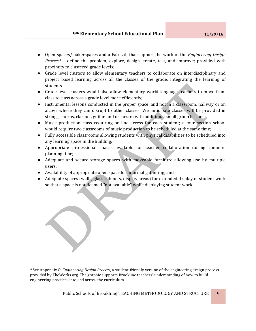- Open spaces/makerspaces and a Fab Lab that support the work of the *Engineering Design Process<sup>3</sup>* – define the problem, explore, design, create, test, and improve; provided with proximity to clustered grade levels;
- Grade level clusters to allow elementary teachers to collaborate on interdisciplinary and project based learning across all the classes of the grade, integrating the learning of students
- Grade level clusters would also allow elementary world language teachers to move from class to class across a grade level more efficiently;
- Instrumental lessons conducted in the proper space, and not in a classroom, hallway or an alcove where they can disrupt to other classes; We anticipate classes will be provided in strings, chorus, clarinet, guitar, and orchestra with additional small group lessons;
- Music production class requiring on-line access for each student; a four section school would require two classrooms of music production to be scheduled at the same time;
- Fully accessible classrooms allowing students with physical disabilities to be scheduled into any learning space in the building;
- Appropriate professional spaces available for teacher collaboration during common planning time;
- Adequate and secure storage spaces with moveable furniture allowing use by multiple users;
- Availability of appropriate open space for informal gathering; and

 

• Adequate spaces (walls, glass cabinets, display areas) for extended display of student work so that a space is not deemed "not available" while displaying student work.

<sup>&</sup>lt;sup>3</sup> See Appendix C: *Engineering Design Process*, a student-friendly version of the engineering design process provided by TheWorks.org. The graphic supports Brookline teachers' understanding of how to build engineering practices into and across the curriculum.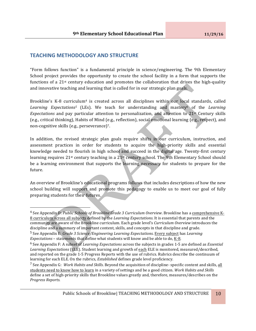# **TEACHING METHODOLOGY AND STRUCTURE**

 $\overline{\phantom{a}}$ 

"Form follows function" is a fundamental principle in science/engineering. The 9th Elementary School project provides the opportunity to create the school facility in a form that supports the functions of a 21<sup>st</sup> century education and promotes the collaboration that drives the high-quality and innovative teaching and learning that is called for in our strategic plan goals.

Brookline's K-8 curriculum<sup>4</sup> is created across all disciplines within our local standards, called Learning Expectations<sup>5</sup> (LEs). We teach for understanding and mastery<sup>6</sup> of the Learning *Expectations* and pay particular attention to personalization, and attention to 21<sup>st</sup> Century skills (e.g., critical thinking), Habits of Mind (e.g., reflection), social emotional learning (e.g., respect), and non-cognitive skills (e.g., perseverance)<sup>7</sup>.

In addition, the revised strategic plan goals require shifts in our curriculum, instruction, and assessment practices in order for students to acquire the high-priority skills and essential knowledge needed to flourish in high school and succeed in the digital age. Twenty-first century learning requires  $21$ <sup>st</sup> century teaching in a  $21$ <sup>st</sup> century school. The 9th Elementary School should be a learning environment that supports the learning necessary for students to prepare for the future.

An overview of Brookline's educational programs follows that includes descriptions of how the new school building will support and promote this pedagogy to enable us to meet our goal of fully preparing students for their futures.

<sup>&</sup>lt;sup>4</sup> See Appendix D: Public Schools of Brookline Grade 3 Curriculum Overview. Brookline has a comprehensive K-8 curriculum across all subjects defined by the *Learning Expectations*. It is essential that parents and the community are aware of the Brookline curriculum. Each grade level's *Curriculum Overview* introduces the discipline and a summary of important content, skills, and concepts in that discipline and grade. <sup>5</sup> See Appendix E: *Grade 3 Science/Engineering Learning Expectations*. Every subject has *Learning Expectations* – statements that define what students will know and be able to do, K-8.

<sup>&</sup>lt;sup>6</sup> See Appendix F: A subset of *Learning Expectations* across the subjects in grades 1-5 are defined as *Essential* Learning Expectations (ELE). Student learning and growth of each ELE is monitored, measured/described, and reported on the grade 1-5 Progress Reports with the use of rubrics. Rubrics describe the continuum of learning for each ELE. On the rubrics, *Established* defines grade level proficiency.

<sup>&</sup>lt;sup>7</sup> See Appendix G: *Work Habits and Skills*. Beyond the acquisition of discipline- specific content and skills, all students need to know how to learn in a variety of settings and be a good citizen. *Work Habits and Skills* define a set of high-priority skills that Brookline values greatly and, therefore, measures/describes on the *Progress Reports*.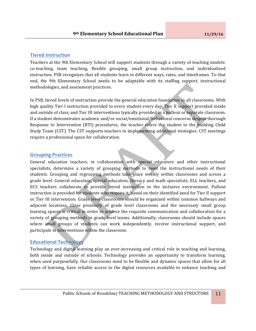#### **Tiered Instruction**

Teachers at the 9th Elementary School will support students through a variety of teaching models: co-teaching, team teaching, flexible grouping, small group instruction, and individualized instruction. PSB recognizes that all students learn in different ways, rates, and timeframes. To that end, the 9th Elementary School needs to be adaptable with its staffing support, instructional methodologies, and assessment practices.

In PSB, tiered levels of instruction provide the general education foundation in all classrooms. With high quality Tier I instruction provided to every student every day, Tier II support provided inside and outside of class, and Tier III interventions typically provided in a pullout or separate classroom. If a student demonstrates academic and/or social/emotional/behavioral concerns despite thorough Response to Intervention (RTI) procedures, the teacher refers the student to the building Child Study Team (CST). The CST supports teachers in implementing additional strategies. CST meetings require a professional space for collaboration.

#### **Grouping Practices**

General education teachers, in collaboration with special educators and other instructional specialists, determine a variety of grouping methods to meet the instructional needs of their students. Grouping and regrouping methods take place weekly within classrooms and across a grade level. General education, special education, literacy and math specialists, ELL teachers, and ECS teachers collaborate to provide tiered instruction in the inclusive environment. Pullout instruction is provided for students who require it, based on their identified need for Tier II support or Tier III intervention. Grade level classrooms should be organized within common hallways and adjacent locations. Close proximity of grade level classrooms and the necessary small group learning spaces is critical in order to achieve the requisite communication and collaboration for a variety of grouping methods in grade level teams. Additionally, classrooms should include spaces where small groups of students can work independently, receive instructional support, and participate in interventions within the classroom.

#### **Educational Technology**

Technology and digital learning play an ever-increasing and critical role in teaching and learning, both inside and outside of schools. Technology provides an opportunity to transform learning, when used purposefully. Our classrooms need to be flexible and dynamic spaces that allow for all types of learning, have reliable access to the digital resources available to enhance teaching and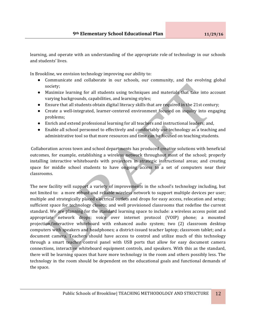learning, and operate with an understanding of the appropriate role of technology in our schools and students' lives. 

In Brookline, we envision technology improving our ability to:

- Communicate and collaborate in our schools, our community, and the evolving global society;
- Maximize learning for all students using techniques and materials that take into account varying backgrounds, capabilities, and learning styles;
- Ensure that all students obtain digital literacy skills that are required in the 21st century;
- Create a well-integrated, learner-centered environment focused on inquiry into engaging problems;
- Enrich and extend professional learning for all teachers and instructional leaders; and,
- Enable all school personnel to effectively and comfortably use technology as a teaching and administrative tool so that more resources and time can be focused on teaching students.

Collaboration across town and school departments has produced creative solutions with beneficial outcomes, for example, establishing a wireless network throughout most of the school; properly installing interactive whiteboards with projectors in strategic instructional areas; and creating space for middle school students to have ongoing access to a set of computers near their classrooms. 

The new facility will support a variety of improvements in the school's technology including, but not limited to: a more robust and reliable wireless network to support multiple devices per user; multiple and strategically placed electrical outlets and drops for easy access, relocation and setup; sufficient space for technology closets; and well provisioned classrooms that redefine the current standard. We are planning for the standard learning space to include: a wireless access point and appropriate network drops; voice over internet protocol (VOIP) phone; a mounted projection/interactive whiteboard with enhanced audio system; two (2) classroom desktop computers with speakers and headphones; a district-issued teacher laptop; classroom tablet; and a document camera. Teachers should have access to control and utilize much of this technology through a smart teacher control panel with USB ports that allow for easy document camera connections, interactive whiteboard equipment controls, and speakers. With this as the standard, there will be learning spaces that have more technology in the room and others possibly less. The technology in the room should be dependent on the educational goals and functional demands of the space.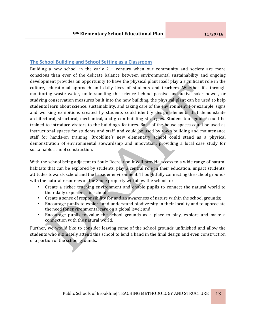#### **The School Building and School Setting as a Classroom**

Building a new school in the early  $21$ <sup>st</sup> century when our community and society are more conscious than ever of the delicate balance between environmental sustainability and ongoing development provides an opportunity to have the physical plant itself play a significant role in the culture, educational approach and daily lives of students and teachers. Whether it's through monitoring waste water, understanding the science behind passive and active solar power, or studying conservation measures built into the new building, the physical plant can be used to help students learn about science, sustainability, and taking care of the environment. For example, signs and working exhibitions created by students could identify design elements that demonstrate architectural, structural, mechanical, and green building strategies. Student tour guides could be trained to introduce visitors to the building's features. Back-of-the-house spaces could be used as instructional spaces for students and staff, and could be used by town building and maintenance staff for hands-on training. Brookline's new elementary school could stand as a physical demonstration of environmental stewardship and innovation, providing a local case study for sustainable school construction.

With the school being adjacent to Soule Recreation it will provide access to a wide range of natural habitats that can be explored by students, play a central role in their education, impact students' attitudes towards school and the broader environment. Thoughtfully connecting the school grounds with the natural resources on the Soule property will allow the school to:

- Create a richer teaching environment and enable pupils to connect the natural world to their daily experience in school;
- Create a sense of responsibility for and an awareness of nature within the school grounds;
- Encourage pupils to explore and understand biodiversity in their locality and to appreciate the need for environmental care on a global level; and
- Encourage pupils to value the school grounds as a place to play, explore and make a connection with the natural world.

Further, we would like to consider leaving some of the school grounds unfinished and allow the students who ultimately attend this school to lend a hand in the final design and even construction of a portion of the school grounds.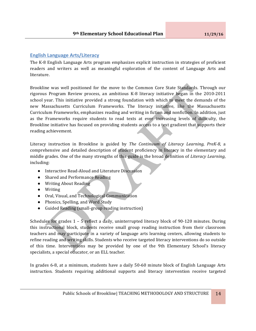# **English Language Arts/Literacy**

The K-8 English Language Arts program emphasizes explicit instruction in strategies of proficient readers and writers as well as meaningful exploration of the content of Language Arts and literature. 

Brookline was well positioned for the move to the Common Core State Standards. Through our rigorous Program Review process, an ambitious K-8 literacy initiative began in the 2010-2011 school year. This initiative provided a strong foundation with which to meet the demands of the new Massachusetts Curriculum Frameworks. The literacy initiative, like the Massachusetts Curriculum Frameworks, emphasizes reading and writing in fiction and nonfiction. In addition, just as the Frameworks require students to read texts at ever increasing levels of difficulty, the Brookline initiative has focused on providing students access to a text gradient that supports their reading achievement.

Literacy instruction in Brookline is guided by *The Continuum of Literacy Learning, PreK-8*, a comprehensive and detailed description of student proficiency in literacy in the elementary and middle grades. One of the many strengths of this guide is the broad definition of *Literacy Learning*, including:

- Interactive Read-Aloud and Literature Discussion
- Shared and Performance Reading
- Writing About Reading
- Writing
- Oral, Visual, and Technological Communication
- Phonics, Spelling, and Word Study
- Guided Reading (small-group reading instruction)

Schedules for grades  $1 - 5$  reflect a daily, uninterrupted literacy block of 90-120 minutes. During this instructional block, students receive small group reading instruction from their classroom teachers and may participate in a variety of language arts learning centers, allowing students to refine reading and writing skills. Students who receive targeted literacy interventions do so outside of this time. Interventions may be provided by one of the 9th Elementary School's literacy specialists, a special educator, or an ELL teacher.

In grades 6-8, at a minimum, students have a daily 50-60 minute block of English Language Arts instruction. Students requiring additional supports and literacy intervention receive targeted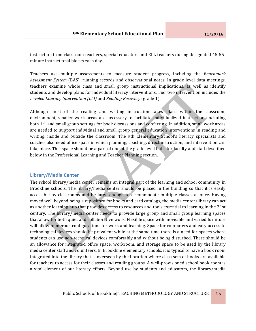instruction from classroom teachers, special educators and ELL teachers during designated 45-55minute instructional blocks each day.

Teachers use multiple assessments to measure student progress, including the *Benchmark Assessment System* (BAS), running records and observational notes. In grade level data meetings, teachers examine whole class and small group instructional implications, as well as identify students and develop plans for individual literacy interventions. Tier two intervention includes the *Leveled Literacy Intervention (LLI)* and *Reading Recovery* (grade 1).

Although most of the reading and writing instruction takes place within the classroom environment, smaller work areas are necessary to facilitate individualized instruction, including both 1:1 and small group settings for book discussions and conferring. In addition, small work areas are needed to support individual and small group general education interventions in reading and writing, inside and outside the classroom. The 9th Elementary School's literacy specialists and coaches also need office space in which planning, coaching, direct instruction, and intervention can take place. This space should be a part of one of the grade level hubs for faculty and staff described below in the Professional Learning and Teacher Planning section.

#### **Library/Media Center**

The school library/media center remains an integral part of the learning and school community in Brookline schools. The library/media center should be placed in the building so that it is easily accessible by classrooms and be large enough to accommodate multiple classes at once. Having moved well beyond being a repository for books and card catalogs, the media center/library can act as another learning hub that provides access to resources and tools essential to learning in the 21st century. The library/media center needs to provide large group and small group learning spaces that allow for both quiet and collaborative work. Flexible space with moveable and varied furniture will allow numerous configurations for work and learning. Space for computers and easy access to technological devices should be prevalent while at the same time there is a need for spaces where students can use non-technical devices comfortably and without being disturbed. There should be an allowance for integrated office space, workroom, and storage space to be used by the library media center staff and volunteers. In Brookline elementary schools, it is typical to have a book room integrated into the library that is overseen by the librarian where class sets of books are available for teachers to access for their classes and reading groups. A well-provisioned school book room is a vital element of our literacy efforts. Beyond use by students and educators, the library/media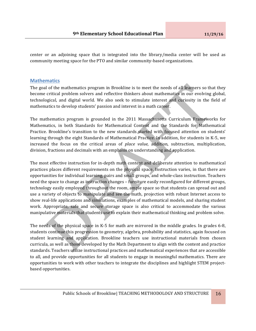center or an adjoining space that is integrated into the library/media center will be used as community meeting space for the PTO and similar community-based organizations.

#### **Mathematics**

The goal of the mathematics program in Brookline is to meet the needs of all learners so that they become critical problem solvers and reflective thinkers about mathematics in our evolving global, technological, and digital world. We also seek to stimulate interest and curiosity in the field of mathematics to develop students' passion and interest in a math career.

The mathematics program is grounded in the 2011 Massachusetts Curriculum Frameworks for Mathematics, in both Standards for Mathematical Content and the Standards for Mathematical Practice. Brookline's transition to the new standards started with focused attention on students' learning through the eight Standards of Mathematical Practice. In addition, for students in K-5, we increased the focus on the critical areas of *place value*, addition, subtraction, multiplication, division, fractions and decimals with an emphasis on understanding and application.

The most effective instruction for in-depth math content and deliberate attention to mathematical practices places different requirements on the physical space. Instruction varies, in that there are opportunities for individual learning, pairs and small groups, and whole-class instruction. Teachers need the space to change as instruction changes - furniture easily reconfigured for different groups, technology easily employed throughout the room, ample space so that students can spread out and use a variety of objects to manipulate and see the math, projection with robust Internet access to show real-life applications and simulations, examples of mathematical models, and sharing student work. Appropriate, safe and secure storage space is also critical to accommodate the various manipulative materials that students use to explain their mathematical thinking and problem solve.

The needs of the physical space in K-5 for math are mirrored in the middle grades. In grades 6-8, students continue this progression to geometry, algebra, probability and statistics, again focused on student learning and application. Brookline teachers use instructional materials from chosen curricula, as well as those developed by the Math Department to align with the content and practice standards. Teachers utilize instructional practices and mathematical experiences that are accessible to all, and provide opportunities for all students to engage in meaningful mathematics. There are opportunities to work with other teachers to integrate the disciplines and highlight STEM projectbased opportunities.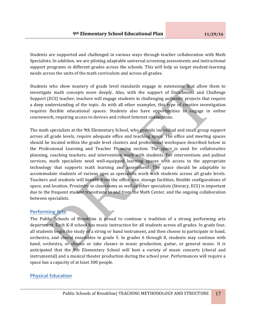Students are supported and challenged in various ways through teacher collaboration with Math Specialists. In addition, we are piloting adaptable universal screening assessments and instructional support programs in different grades across the schools. This will help us target student-learning needs across the units of the math curriculum and across all grades.

Students who show mastery of grade level standards engage in extensions that allow them to investigate math concepts more deeply. Also, with the support of Enrichment and Challenge Support (ECS) teacher, teachers will engage students in challenging authentic projects that require a deep understanding of the topic. As with all other examples, this type of creative investigation requires flexible educational spaces. Students also have opportunities to engage in online coursework, requiring access to devices and robust Internet connections.

The math specialists at the 9th Elementary School, who provide individual and small group support across all grade levels, require adequate office and teaching space. The office and meeting spaces should be located within the grade level clusters and professional workspace described below in the Professional Learning and Teacher Planning section. The space is used for collaborative planning, coaching teachers, and intervention work with students. For interventions and pullout services, math specialists need well-equipped learning spaces with access to the appropriate technology that supports math learning and assessment. The space should be adaptable to accommodate students of various ages as specialists work with students across all grade levels. Teachers and students will benefit from the office size, storage facilities, flexible configurations of space, and location. Proximity to classrooms as well as other specialists (literacy, ECS) is important due to the frequent student transitions to and from the Math Center, and the ongoing collaboration between specialists.

#### **Performing Arts**

The Public Schools of Brookline is proud to continue a tradition of a strong performing arts department. Each K-8 school has music instruction for all students across all grades. In grade four, all students begin the study of a string or band instrument, and then choose to participate in band, orchestra, and choral ensembles in grade 5. In grades  $6$  through  $8$ , students may continue with band, orchestra, or chorus or take classes in music production, guitar, or general music. It is anticipated that the 9th Elementary School will host a variety of music concerts (choral and instrumental) and a musical theater production during the school year. Performances will require a space has a capacity of at least 300 people.

# **Physical Education**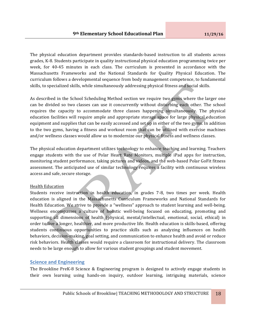The physical education department provides standards-based instruction to all students across grades, K-8. Students participate in quality instructional physical education programming twice per week, for 40-45 minutes in each class. The curriculum is presented in accordance with the Massachusetts Frameworks and the National Standards for Quality Physical Education. The curriculum follows a developmental sequence from body management competence, to fundamental skills, to specialized skills, while simultaneously addressing physical fitness and social skills.

As described in the School Scheduling Method section we require two gyms where the larger one can be divided so two classes can use it concurrently without disturbing each other. The school requires the capacity to accommodate three classes happening simultaneously. The physical education facilities will require ample and appropriate storage space for large physical education equipment and supplies that can be easily accessed and set up in either of the two gyms. In addition to the two gyms, having a fitness and workout room that can be utilized with exercise machines and/or wellness classes would allow us to modernize our physical fitness and wellness classes.

The physical education department utilizes technology to enhance teaching and learning. Teachers engage students with the use of Polar Heart Rate Monitors, multiple iPad apps for instruction, monitoring student performance, taking pictures and videos, and the web-based Polar GoFit fitness assessment. The anticipated use of similar technology requires a facility with continuous wireless access and safe, secure storage.

#### Health Education

Students receive instruction in health education, in grades 7-8, two times per week. Health education is aligned in the Massachusetts Curriculum Frameworks and National Standards for Health Education. We strive to provide a "wellness" approach to student learning and well-being. Wellness encompasses a culture of holistic well-being focused on educating, promoting and supporting all dimensions of health (physical, mental/intellectual, emotional, social, ethical) in order to live a longer, healthier, and more productive life. Health education is skills-based, offering students continuous opportunities to practice skills such as analyzing influences on health behaviors, decision-making, goal setting, and communication to enhance health and avoid or reduce risk behaviors. Health classes would require a classroom for instructional delivery. The classroom needs to be large enough to allow for various student groupings and student movement.

#### **Science and Engineering**

The Brookline PreK-8 Science & Engineering program is designed to actively engage students in their own learning using hands-on inquiry, outdoor learning, intriguing materials, science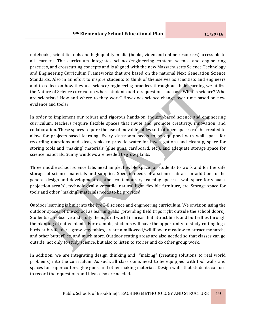notebooks, scientific tools and high quality media (books, video and online resources) accessible to all learners. The curriculum integrates science/engineering content, science and engineering practices, and crosscutting concepts and is aligned with the new Massachusetts Science Technology and Engineering Curriculum Frameworks that are based on the national Next Generation Science Standards. Also in an effort to inspire students to think of themselves as scientists and engineers and to reflect on how they use science/engineering practices throughout their learning we utilize the Nature of Science curriculum where students address questions such as: What is science? Who are scientists? How and where to they work? How does science change over time based on new evidence and tools?

In order to implement our robust and rigorous hands-on, inquiry-based science and engineering curriculum, teachers require flexible spaces that invite and promote creativity, innovation, and collaboration. These spaces require the use of movable tables so that open spaces can be created to allow for projects-based learning. Every classroom needs to be equipped with wall space for recording questions and ideas, sinks to provide water for investigations and cleanup, space for storing tools and "making" materials (glue guns, cardboard, etc.), and adequate storage space for science materials. Sunny windows are needed to grow plants.

Three middle school science labs need ample, flexible space for students to work and for the safe storage of science materials and supplies. Specific needs of a science lab are in addition to the general design and development of other contemporary teaching spaces – wall space for visuals, projection area(s), technologically versatile, natural light, flexible furniture, etc. Storage space for tools and other "making" materials needs to be provided.

Outdoor learning is built into the PreK-8 science and engineering curriculum. We envision using the outdoor spaces of the school as learning labs (providing field trips right outside the school doors). Students can observe and study the natural world in areas that attract birds and butterflies through the planting of native plants. For example, students will have the opportunity to study rotting logs, birds at birdfeeders, grow vegetables, create a milkweed/wildflower meadow to attract monarchs and other butterflies, and much more. Outdoor seating areas are also needed so that classes can go outside, not only to study science, but also to listen to stories and do other group work.

In addition, we are integrating design thinking and "making" (creating solutions to real world problems) into the curriculum. As such, all classrooms need to be equipped with tool walls and spaces for paper cutters, glue guns, and other making materials. Design walls that students can use to record their questions and ideas also are needed.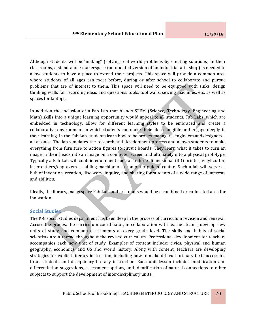Although students will be "making" (solving real world problems by creating solutions) in their classrooms, a stand-alone makerspace (an updated version of an industrial arts shop) is needed to allow students to have a place to extend their projects. This space will provide a common area where students of all ages can meet before, during or after school to collaborate and pursue problems that are of interest to them. This space will need to be equipped with sinks, design thinking walls for recording ideas and questions, tools, tool walls, sewing machines, etc. as well as spaces for laptops.

In addition the inclusion of a Fab Lab that blends STEM (Science, Technology, Engineering and Math) skills into a unique learning opportunity would appeal to all students. Fab Labs, which are embedded in technology, allow for different learning styles to be embraced and create a collaborative environment in which students can make their ideas tangible and engage deeply in their learning. In the Fab Lab, students learn how to be project managers, engineers and designers – all at once. The lab simulates the research and development process and allows students to make everything from furniture to action figures to circuit boards. They learn what it takes to turn an image in their heads into an image on a computer screen and ultimately into a physical prototype. Typically a Fab Lab will contain equipment such as a three-dimensional (3D) printer, vinyl cutter, laser cutters/engravers, a milling machine or a computer-guided router. Such a lab will serve as hub of invention, creation, discovery, inquiry, and sharing for students of a wide range of interests and abilities.

Ideally, the library, makerspace Fab Lab, and art rooms would be a combined or co-located area for innovation.

#### **Social Studies**

The K-8 social studies department has been deep in the process of curriculum revision and renewal. Across the grades, the curriculum coordinator, in collaboration with teacher-teams, develop new units of study and common assessments at every grade level. The skills and habits of social scientists are a thread throughout the revised curriculum. Professional development for teachers accompanies each new unit of study. Examples of content include: civics, physical and human geography, economics, and US and world history. Along with content, teachers are developing strategies for explicit literacy instruction, including how to make difficult primary texts accessible to all students and disciplinary literacy instruction. Each unit lesson includes modification and differentiation suggestions, assessment options, and identification of natural connections to other subjects to support the development of interdisciplinary units.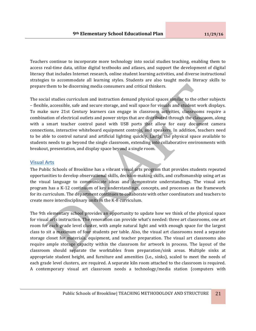Teachers continue to incorporate more technology into social studies teaching, enabling them to access real-time data, utilize digital textbooks and atlases, and support the development of digital literacy that includes Internet research, online student learning activities, and diverse instructional strategies to accommodate all learning styles. Students are also taught media literacy skills to prepare them to be discerning media consumers and critical thinkers.

The social studies curriculum and instruction demand physical spaces similar to the other subjects – flexible, accessible, safe and secure storage, and wall space for visuals and student work displays. To make sure 21st Century learners can engage in classroom activities, classrooms require a combination of electrical outlets and power strips that are distributed through the classroom, along with a smart teacher control panel with USB ports that allow for easy document camera connections, interactive whiteboard equipment controls, and speakers. In addition, teachers need to be able to control natural and artificial lighting quickly. Lastly, the physical space available to students needs to go beyond the single classroom, extending into collaborative environments with breakout, presentation, and display space beyond a single room.

#### **Visual Arts**

The Public Schools of Brookline has a vibrant visual arts program that provides students repeated opportunities to develop observational skills, decision-making skills, and craftsmanship using art as the visual language to communicate ideas and demonstrate understandings. The visual arts program has a K-12 continuum of key understandings, concepts, and processes as the framework for its curriculum. The department continues to collaborate with other coordinators and teachers to create more interdisciplinary units in the K-8 curriculum.

The 9th elementary school provides an opportunity to update how we think of the physical space for visual arts instruction. The renovation can provide what's needed: three art classrooms, one art room for each grade level cluster, with ample natural light and with enough space for the largest class to sit a maximum of four students per table. Also, the visual art classrooms need a separate storage closet for materials, equipment, and teacher preparation. The visual art classrooms also require ample storage capacity within the classroom for artwork in process. The layout of the classroom should separate the worktables from preparation/sink areas. Multiple sinks at appropriate student height, and furniture and amenities (i.e., sinks), scaled to meet the needs of each grade level clusters, are required. A separate kiln room attached to the classroom is required. A contemporary visual art classroom needs a technology/media station (computers with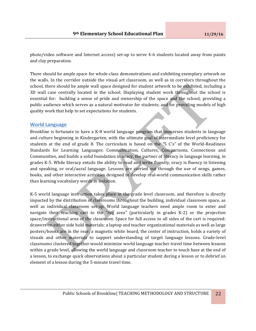photo/video software and Internet access) set-up to serve 4-6 students located away from paints and clay preparation.

There should be ample space for whole-class demonstrations and exhibiting exemplary artwork on the walls. In the corridor outside the visual art classroom, as well as in corridors throughout the school, there should be ample wall space designed for student artwork to be exhibited, including a 3D wall case centrally located in the school. Displaying student work throughout the school is essential for: building a sense of pride and ownership of the space and the school; providing a public audience which serves as a natural motivator for students; and for providing models of high quality work that help to set expectations for students.

#### **World Language**

Brookline is fortunate to have a K-8 world language program that immerses students in language and culture beginning in Kindergarten, with the ultimate goal of intermediate level proficiency for students at the end of grade 8. The curriculum is based on the "5  $C's$ " of the World-Readiness Standards for Learning Languages: Communication, Cultures, Comparisons, Connections and Communities, and builds a solid foundation in oracy, the partner of literacy in language learning, in grades K-5. While literacy entails the ability to read and write fluently, oracy is fluency in listening and speaking, or oral/aural language. Lessons are carried out through the use of songs, games, books, and other interactive activities designed to develop real-world communication skills rather than learning vocabulary words in isolation.

K-5 world language instruction takes place in the grade level classroom, and therefore is directly impacted by the distribution of classrooms throughout the building, individual classroom space, as well as individual classroom set-up. World language teachers need ample room to enter and navigate their teaching cart to the "rug area" (particularly in grades  $K-2$ ) or the projection space/instructional area of the classroom. Space for full access to all sides of the cart is required: drawers on either side hold materials; a laptop and teacher organizational materials as well as large posters/books are in the rear; a magnetic white board, the center of instruction, holds a variety of visuals and other materials to support understanding of target language lessons. Grade-level classrooms clustered together would minimize world language teacher travel time between lessons within a grade level, allowing the world language and classroom teacher to touch base at the end of a lesson, to exchange quick observations about a particular student during a lesson or to debrief an element of a lesson during the 5-minute travel time.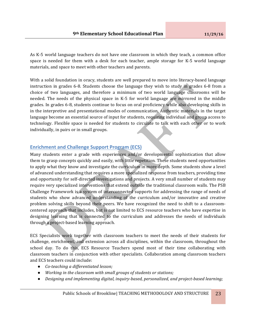As K-5 world language teachers do not have one classroom in which they teach, a common office space is needed for them with a desk for each teacher, ample storage for K-5 world language materials, and space to meet with other teachers and parents.

With a solid foundation in oracy, students are well prepared to move into literacy-based language instruction in grades 6-8. Students choose the language they wish to study in grades 6-8 from a choice of two languages, and therefore a minimum of two world language classrooms will be needed. The needs of the physical space in K-5 for world language are mirrored in the middle grades. In grades 6-8, students continue to focus on oral proficiency while also developing skills in in the interpretive and presentational modes of communication. Authentic materials in the target language become an essential source of input for students, requiring individual and group access to technology. Flexible space is needed for students to circulate to talk with each other or to work individually, in pairs or in small groups.

#### **Enrichment and Challenge Support Program (ECS)**

Many students enter a grade with experiences and/or developmental sophistication that allow them to grasp concepts quickly and easily, with little repetition. These students need opportunities to apply what they know and investigate the curriculum in more depth. Some students show a level of advanced understanding that requires a more specialized response from teachers, providing time and opportunity for self-directed investigations and projects. A very small number of students may require very specialized interventions that extend outside the traditional classroom walls. The PSB Challenge Framework is a system of interconnected supports for addressing the range of needs of students who show advanced understanding of the curriculum and/or innovative and creative problem solving skills beyond their peers. We have recognized the need to shift to a classroomcentered approach that includes, but is not limited to ECS resource teachers who have expertise in designing learning that is connected to the curriculum and addresses the needs of individuals through a project-based learning approach.

ECS Specialists work together with classroom teachers to meet the needs of their students for challenge, enrichment, and extension across all disciplines, within the classroom, throughout the school day. To do this, ECS Resource Teachers spend most of their time collaborating with classroom teachers in conjunction with other specialists. Collaboration among classroom teachers and ECS teachers could include:

- *Co-teaching a differentiated lesson;*
- Working in the classroom with small groups of students or stations;
- *Designing and implementing digital, inguiry-based, personalized, and project-based learning;*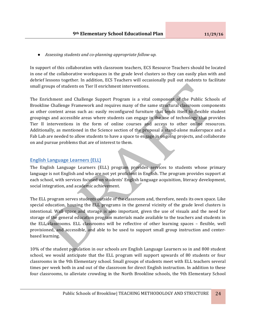● *Assessing students and co-planning appropriate follow-up.*

In support of this collaboration with classroom teachers, ECS Resource Teachers should be located in one of the collaborative workspaces in the grade level clusters so they can easily plan with and debrief lessons together. In addition, ECS Teachers will occasionally pull out students to facilitate small groups of students on Tier II enrichment interventions.

The Enrichment and Challenge Support Program is a vital component of the Public Schools of Brookline Challenge Framework and requires many of the same structural classroom components as other content areas such as: easily reconfigured furniture that lends itself to flexible student groupings and accessible areas where students can engage in the use of technology that provides Tier II interventions in the form of online courses and access to other online resources. Additionally, as mentioned in the Science section of the proposal a stand-alone makerspace and a Fab Lab are needed to allow students to have a space to engage in ongoing projects, and collaborate on and pursue problems that are of interest to them.

# **English Language Learners (ELL)**

The English Language Learners (ELL) program provides services to students whose primary language is not English and who are not yet proficient in English. The program provides support at each school, with services focused on students' English language acquisition, literacy development, social integration, and academic achievement.

The ELL program serves students outside of the classroom and, therefore, needs its own space. Like special education, housing the  $ELL$  programs in the general vicinity of the grade level clusters is intentional. Wall space and storage is also important, given the use of visuals and the need for storage of the general education program materials made available to the teachers and students in the ELL classrooms. ELL classrooms will be reflective of other learning spaces – flexible, well provisioned, and accessible, and able to be used to support small group instruction and centerbased learning.

10% of the student population in our schools are English Language Learners so in and 800 student school, we would anticipate that the ELL program will support upwards of 80 students or four classrooms in the 9th Elementary school. Small groups of students meet with ELL teachers several times per week both in and out of the classroom for direct English instruction. In addition to these four classrooms, to alleviate crowding in the North Brookline schools, the 9th Elementary School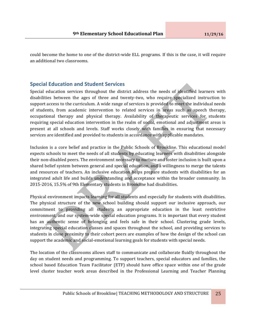could become the home to one of the district-wide ELL programs. If this is the case, it will require an additional two classrooms.

# **Special Education and Student Services**

Special education services throughout the district address the needs of identified learners with disabilities between the ages of three and twenty-two, who require specialized instruction to support access to the curriculum. A wide range of services is provided to meet the individual needs of students, from academic intervention to related services in areas such as speech therapy, occupational therapy and physical therapy. Availability of therapeutic services for students requiring special education intervention in the realm of social, emotional and adjustment areas is present at all schools and levels. Staff works closely with families in ensuring that necessary services are identified and provided to students in accordance with applicable mandates.

Inclusion is a core belief and practice in the Public Schools of Brookline. This educational model expects schools to meet the needs of all students by educating learners with disabilities alongside their non-disabled peers. The environment necessary to nurture and foster inclusion is built upon a shared belief system between general and special education, and a willingness to merge the talents and resources of teachers. An inclusive education helps prepare students with disabilities for an integrated adult life and builds understanding and acceptance within the broader community. In 2015-2016, 15.5% of 9th Elementary students in Brookline had disabilities.

Physical environment impacts learning for all students and especially for students with disabilities. The physical structure of the new school building should support our inclusive approach, our commitment to providing all students an appropriate education in the least restrictive environment, and our system-wide special education programs. It is important that every student has an authentic sense of belonging and feels safe in their school. Clustering grade levels, integrating special education classes and spaces throughout the school, and providing services to students in close proximity to their cohort peers are examples of how the design of the school can support the academic and social-emotional learning goals for students with special needs.

The location of the classrooms allows staff to communicate and collaborate fluidly throughout the day on student needs and programming. To support teachers, special educators and families, the school based Education Team Facilitator (ETF) should have office space within one of the grade level cluster teacher work areas described in the Professional Learning and Teacher Planning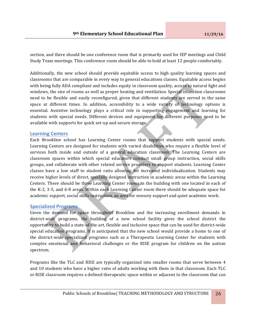section, and there should be one conference room that is primarily used for IEP meetings and Child Study Team meetings. This conference room should be able to hold at least 12 people comfortably.

Additionally, the new school should provide equitable access to high quality learning spaces and classrooms that are comparable in every way to general educations classes. Equitable access begins with being fully ADA compliant and includes equity in classroom quality, access to natural light and windows, the size of rooms as well as proper heating and ventilation. Special education classrooms need to be flexible and easily reconfigured, given that different students are served in the same space at different times. In addition, accessibility to a wide variety of technology options is essential. Assistive technology plays a critical role in supporting engagement and learning for students with special needs. Different devices and equipment for different purposes need to be available with supports for quick set-up and secure storage.

#### **Learning Centers**

Each Brookline school has Learning Center rooms that support students with special needs. Learning Centers are designed for students with varied disabilities who require a flexible level of services both inside and outside of a general education classroom. The Learning Centers are classroom spaces within which special educators conduct small group instruction, social skills groups, and collaborate with other related service providers to support students. Learning Center classes have a low staff to student ratio allowing for increased individualization. Students may receive higher levels of direct, specially designed instruction in academic areas within the Learning Centers. There should be three Learning Center rooms in the building with one located in each of the K-2, 3-5, and 6-8 areas. Within each Learning Center room there should be adequate space for academic support, social skills instruction, an area for sensory support and quiet academic work.

#### **Specialized Programs**

Given the demand for space throughout Brookline and the increasing enrollment demands in district-wide programs, the building of a new school facility gives the school district the opportunity to build a state-of-the-art, flexible and inclusive space that can be used for district-wide special education programs. It is anticipated that the new school would provide a home to one of the district-wide specialized programs such as a Therapeutic Learning Center for students with complex emotional and behavioral challenges or the RISE program for children on the autism spectrum.

Programs like the TLC and RISE are typically organized into smaller rooms that serve between 4 and 10 students who have a higher ratio of adults working with them in that classroom. Each TLC or RISE classroom requires a defined therapeutic space within or adjacent to the classroom that can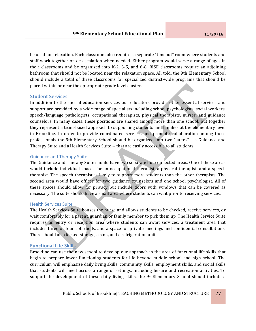be used for relaxation. Each classroom also requires a separate "timeout" room where students and staff work together on de-escalation when needed. Either program would serve a range of ages in their classrooms and be organized into  $K-2$ , 3-5, and 6-8. RISE classrooms require an adjoining bathroom that should not be located near the relaxation space. All told, the 9th Elementary School should include a total of three classrooms for specialized district-wide programs that should be placed within or near the appropriate grade level cluster.

#### **Student Services**

In addition to the special education services our educators provide, other essential services and support are provided by a wide range of specialists including school psychologists, social workers, speech/language pathologists, occupational therapists, physical therapists, nurses, and guidance counselors. In many cases, these positions are shared among more than one school, but together they represent a team-based approach to supporting students and families at the elementary level in Brookline. In order to provide coordinated services and promote collaboration among these professionals the 9th Elementary School should be organized into two "suites" – a Guidance and Therapy Suite and a Health Services Suite -- that are easily accessible to all students.

#### Guidance and Therapy Suite

The Guidance and Therapy Suite should have two separate but connected areas. One of these areas would include individual spaces for an occupational therapist, a physical therapist, and a speech therapist. The speech therapist is likely to support more students than the other therapists. The second area would have offices for two guidance counselors and one school psychologist. All of these spaces should allow for privacy but include doors with windows that can be covered as necessary. The suite should have a small area where students can wait prior to receiving services.

#### **Health Services Suite**

The Health Services Suite houses the nurse and allows students to be checked, receive services, or wait comfortably for a parent, guardian or family member to pick them up. The Health Service Suite requires an entry or reception area where students can await services, a treatment area that includes three or four cots/beds, and a space for private meetings and confidential consultations. There should also locked storage, a sink, and a refrigeration unit.

#### **Functional Life Skills**

Brookline can use the new school to develop our approach in the area of functional life skills that begin to prepare lower functioning students for life beyond middle school and high school. The curriculum will emphasize daily living skills, community skills, employment skills, and social skills that students will need across a range of settings, including leisure and recreation activities. To support the development of these daily living skills, the  $9<sup>th</sup>$  Elementary School should include a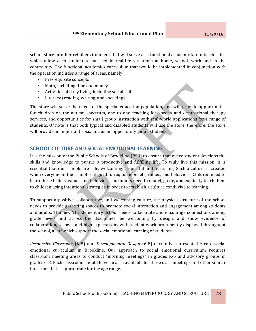school store or other retail environment that will serve as a functional academic lab to teach skills which allow each student to succeed in real-life situations at home, school, work and in the community. The functional academics curriculum that would be implemented in conjunction with the operation includes a range of areas, namely:

- Pre-requisite concepts
- Math, including time and money
- Activities of daily living, including social skills
- Literacy (reading, writing, and speaking)

The store will serve the needs of the special education population, and will provide opportunities for children on the autism spectrum, one to one teaching for speech and occupational therapy services, and opportunities for small group instruction with real-world applications for a range of students. Of note is that both typical and disabled students will use the store, therefore, the store will provide an important social inclusion opportunity for all students.

# **SCHOOL CULTURE AND SOCIAL EMOTIONAL LEARNING**

It is the mission of the Public Schools of Brookline (PSB) to ensure that every student develops the skills and knowledge to pursue a productive and fulfilling life. To truly live this mission, it is essential that our schools are safe, welcoming, respectful and nurturing. Such a culture is created when everyone in the school is aligned to requisite beliefs, values, and behaviors. Children need to learn these beliefs, values and behaviors, and adults need to model, guide, and explicitly teach them to children using intentional strategies in order to establish a culture conducive to learning.

To support a positive, collaborative, and welcoming culture, the physical structure of the school needs to provide gathering spaces to promote social interaction and engagement among students and adults. The new 9th Elementary School needs to facilitate and encourage connections among grade levels and across the disciplines, be welcoming by design, and show evidence of collaboration, respect, and high expectations with student work prominently displayed throughout the school, all of which support the social emotional learning of students

*Responsive Classroom* (K-5) and *Developmental Design* (6-8) currently represent the core social emotional curriculum in Brookline. Our approach to social emotional curriculum requires classroom meeting areas to conduct "morning meetings" in grades K-5 and advisory groups in grades 6-8. Each classroom should have an area available for these class meetings and other similar functions that is appropriate for the age range.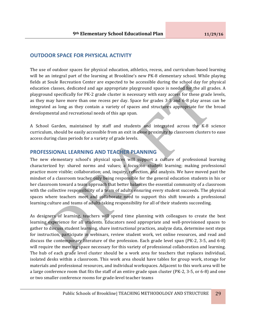# **OUTDOOR SPACE FOR PHYSICAL ACTIVITY**

The use of outdoor spaces for physical education, athletics, recess, and curriculum-based learning will be an integral part of the learning at Brookline's new PK-8 elementary school. While playing fields at Soule Recreation Center are expected to be accessible during the school day for physical education classes, dedicated and age appropriate playground space is needed for the all grades. A playground specifically for PK-2 grade cluster is necessary with easy access for these grade levels, as they may have more than one recess per day. Space for grades 3-5 and 6-8 play areas can be integrated as long as they contain a variety of spaces and structures appropriate for the broad developmental and recreational needs of this age span.

A School Garden, maintained by staff and students and integrated across the K-8 science curriculum, should be easily accessible from an exit in close proximity to classroom clusters to ease access during class periods for a variety of grade levels.

# **PROFESSIONAL LEARNING AND TEACHER PLANNING**

The new elementary school's physical spaces will support a culture of professional learning characterized by: shared norms and values; a focus on student learning; making professional practice more visible; collaboration; and, inquiry, reflection, and analysis. We have moved past the mindset of a classroom teacher only being responsible for the general education students in his or her classroom toward a team approach that better balances the essential community of a classroom with the collective responsibility of a team of adults ensuring every student succeeds. The physical spaces where teachers meet and collaborate need to support this shift towards a professional learning culture and teams of adults taking responsibility for all of their students succeeding.

As designers of learning, teachers will spend time planning with colleagues to create the best learning experience for all students. Educators need appropriate and well-provisioned spaces to gather to discuss student learning, share instructional practices, analyze data, determine next steps for instruction, participate in webinars, review student work, vet online resources, and read and discuss the contemporary literature of the profession. Each grade level span (PK-2, 3-5, and 6-8) will require the meeting space necessary for this variety of professional collaboration and learning. The hub of each grade level cluster should be a work area for teachers that replaces individual, isolated desks within a classroom. This work area should have tables for group work, storage for materials and professional resources, and individual workspaces. Adjacent to this work area will be a large conference room that fits the staff of an entire grade span cluster (PK-2, 3-5, or 6-8) and one or two smaller conference rooms for grade-level teacher teams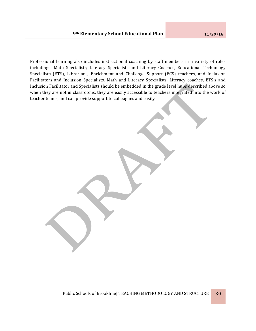Professional learning also includes instructional coaching by staff members in a variety of roles including: Math Specialists, Literacy Specialists and Literacy Coaches, Educational Technology Specialists (ETS), Librarians, Enrichment and Challenge Support (ECS) teachers, and Inclusion Facilitators and Inclusion Specialists. Math and Literacy Specialists, Literacy coaches, ETS's and Inclusion Facilitator and Specialists should be embedded in the grade level hubs described above so when they are not in classrooms, they are easily accessible to teachers integrated into the work of teacher teams, and can provide support to colleagues and easily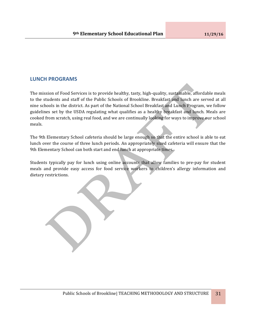# **LUNCH PROGRAMS**

The mission of Food Services is to provide healthy, tasty, high-quality, sustainable, affordable meals to the students and staff of the Public Schools of Brookline. Breakfast and lunch are served at all nine schools in the district. As part of the National School Breakfast and Lunch Program, we follow guidelines set by the USDA regulating what qualifies as a healthy breakfast and lunch. Meals are cooked from scratch, using real food, and we are continually looking for ways to improve our school meals. 

The 9th Elementary School cafeteria should be large enough so that the entire school is able to eat lunch over the course of three lunch periods. An appropriately sized cafeteria will ensure that the 9th Elementary School can both start and end lunch at appropriate times.

Students typically pay for lunch using online accounts that allow families to pre-pay for student meals and provide easy access for food service workers to children's allergy information and dietary restrictions.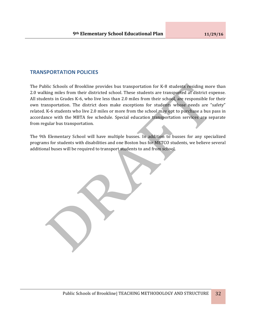# **TRANSPORTATION POLICIES**

The Public Schools of Brookline provides bus transportation for K-8 students residing more than 2.0 walking miles from their districted school. These students are transported at district expense. All students in Grades K-6, who live less than 2.0 miles from their school, are responsible for their own transportation. The district does make exceptions for students whose needs are "safety" related. K-6 students who live 2.0 miles or more from the school may opt to purchase a bus pass in accordance with the MBTA fee schedule. Special education transportation services are separate from regular bus transportation.

The 9th Elementary School will have multiple busses. In addition to busses for any specialized programs for students with disabilities and one Boston bus for METCO students, we believe several additional buses will be required to transport students to and from school.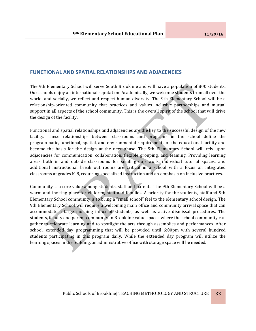# **FUNCTIONAL AND SPATIAL RELATIONSHIPS AND ADJACENCIES**

The 9th Elementary School will serve South Brookline and will have a population of 800 students. Our schools enjoy an international reputation. Academically, we welcome students from all over the world, and socially, we reflect and respect human diversity. The 9th Elementary School will be a relationship-oriented community that practices and values inclusive partnerships and mutual support in all aspects of the school community. This is the overall spirit of the school that will drive the design of the facility.

Functional and spatial relationships and adjacencies are the key to the successful design of the new facility. These relationships between classrooms and programs in the school define the programmatic, functional, spatial, and environmental requirements of the educational facility and become the basis for the design at the next phase. The 9th Elementary School will rely upon adjacencies for communication, collaboration, flexible grouping, and teaming. Providing learning areas both in and outside classrooms for small group work, individual tutorial spaces, and additional instructional break out rooms are critical in a school with a focus on integrated classrooms at grades K-8, requiring specialized instruction and an emphasis on inclusive practices.

Community is a core value among students, staff and parents. The 9th Elementary School will be a warm and inviting place for children, staff and families. A priority for the students, staff and 9th Elementary School community is to bring a "small school" feel to the elementary school design. The 9th Elementary School will require a welcoming main office and community arrival space that can accommodate a large morning influx of students, as well as active dismissal procedures. The students, faculty and parent community in Brookline value spaces where the school community can gather to celebrate learning and to spotlight the arts through assemblies and performances. After school, extended day programming that will be provided until 6:00pm with several hundred students participating in this program daily. While the extended day program will utilize the learning spaces in the building, an administrative office with storage space will be needed.